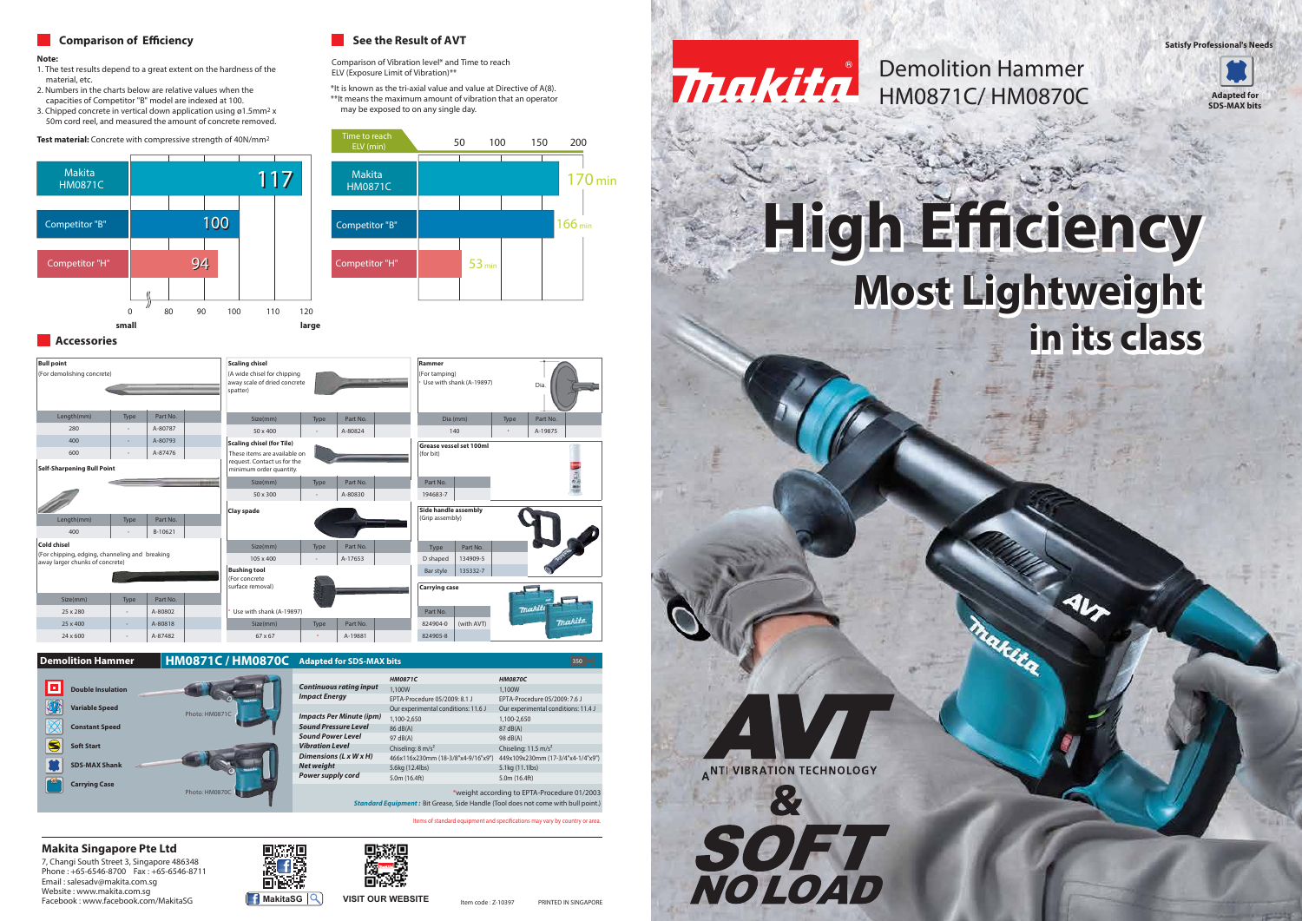

7, Changi South Street 3, Singapore 486348 Phone : +65-6546-8700 Fax : +65-6546-8711 Email : salesadv@makita.com.sg Website : www.makita.com.sg **Facebook : www.facebook.com/MakitaSG MakitaSG MakitaSG VISIT OUR WEBSITE** 





### **Makita Singapore Pte Ltd**

# **Most Lightweight Most Lightweight** Accessories **in its class**

# **High Eciency High Eciency**





**Carrying Case**

SDS

 $\boxed{\Box}$  Dou

婚

 $\bullet$ 耸

**Demolition Hammer HM0871C / HM0870C** Adapted for SDS-MAX bits 350 MM 350 MM 350 MM

| <b>Bull point</b><br>(For demolishing concrete)                                   |      |          | <b>Scaling chisel</b><br>(A wide chisel for chipping<br>away scale of dried concrete<br>spatter) |                  |          |  | Rammer<br>(For tamping)<br>Use with shank (A-19897) |      | Dia.                        |
|-----------------------------------------------------------------------------------|------|----------|--------------------------------------------------------------------------------------------------|------------------|----------|--|-----------------------------------------------------|------|-----------------------------|
| Length(mm)                                                                        | Type | Part No. | Size(mm)                                                                                         | Type             | Part No. |  | Dia (mm)                                            | Type | Part No.                    |
| 280                                                                               |      | A-80787  | 50 x 400                                                                                         |                  | A-80824  |  | 140                                                 |      | A-19875                     |
| 400                                                                               |      | A-80793  | <b>Scaling chisel (for Tile)</b>                                                                 |                  |          |  | Grease vessel set 100ml                             |      |                             |
| 600                                                                               |      | A-87476  | These items are available on                                                                     |                  |          |  | (for bit)                                           |      |                             |
| <b>Self-Sharpening Bull Point</b>                                                 |      |          | request. Contact us for the<br>minimum order quantity.                                           |                  |          |  |                                                     |      |                             |
|                                                                                   |      |          | Size(mm)                                                                                         | Type             | Part No. |  | Part No.                                            |      |                             |
|                                                                                   |      |          | 50 x 300                                                                                         |                  | A-80830  |  | 194683-7                                            |      |                             |
|                                                                                   |      |          | Clay spade                                                                                       |                  |          |  | <b>Side handle assembly</b>                         |      |                             |
| Length(mm)                                                                        | Type | Part No. |                                                                                                  |                  |          |  | (Grip assembly)                                     |      |                             |
| 400                                                                               |      | B-10621  |                                                                                                  |                  |          |  |                                                     |      |                             |
| <b>Cold chisel</b>                                                                |      |          | Size(mm)                                                                                         | Type             | Part No. |  | Part No.<br>Type                                    |      |                             |
| (For chipping, edging, channeling and breaking<br>away larger chunks of concrete) |      |          | 105 x 400                                                                                        |                  | A-17653  |  | D shaped<br>134909-5                                |      |                             |
|                                                                                   |      |          | <b>Bushing tool</b>                                                                              |                  |          |  | Bar style<br>135332-7                               |      |                             |
|                                                                                   |      |          | (For concrete<br>surface removal)                                                                |                  |          |  | <b>Carrying case</b>                                |      |                             |
| Size(mm)                                                                          | Type | Part No. |                                                                                                  |                  |          |  |                                                     |      |                             |
| 25 x 280                                                                          |      | A-80802  | Use with shank (A-19897)                                                                         | maki<br>Part No. |          |  |                                                     |      |                             |
| 25 x 400                                                                          |      | A-80818  | Size(mm)                                                                                         | Type             | Part No. |  | (with AVT)<br>824904-0                              |      | <b><i><u>makita</u></i></b> |
| 24 x 600                                                                          |      | A-87482  | 67 x 67                                                                                          |                  | A-19881  |  | 824905-8                                            |      |                             |

### **Comparison of Efficiency Comparison of Efficiency See the Result of AVT**

### **Note:**

- 1. The test results depend to a great extent on the hardness of the material, etc.
- 2. Numbers in the charts below are relative values when the capacities of Competitor "B" model are indexed at 100.
- 3. Chipped concrete in vertical down application using ø1.5mm2 x 50m cord reel, and measured the amount of concrete removed.

|                          |                |                                                                                                                                         | <b>HM0871C</b>                      | <b>HM0870C</b>                      |  |  |
|--------------------------|----------------|-----------------------------------------------------------------------------------------------------------------------------------------|-------------------------------------|-------------------------------------|--|--|
| <b>Double Insulation</b> |                | <b>Continuous rating input</b>                                                                                                          | 1.100W                              | 1.100W                              |  |  |
|                          |                | <b>Impact Energy</b>                                                                                                                    | EPTA-Procedure 05/2009: 8.1 J       | EPTA-Procedure 05/2009: 7.6 J       |  |  |
| <b>Variable Speed</b>    | Photo: HM0871C |                                                                                                                                         | Our experimental conditions: 11.6 J | Our experimental conditions: 11.4 J |  |  |
|                          |                | <b>Impacts Per Minute (ipm)</b>                                                                                                         | 1,100-2,650                         | 1,100-2,650                         |  |  |
| <b>Constant Speed</b>    |                | <b>Sound Pressure Level</b>                                                                                                             | 86 dB(A)                            | 87 dB(A)                            |  |  |
|                          |                | <b>Sound Power Level</b>                                                                                                                | 97 dB(A)                            | 98 dB(A)                            |  |  |
| <b>Soft Start</b>        |                | <b>Vibration Level</b>                                                                                                                  | Chiseling: $8 \text{ m/s}^2$        | Chiseling: $11.5 \text{ m/s}^2$     |  |  |
|                          |                | Dimensions (L x W x H)                                                                                                                  | 466x116x230mm (18-3/8"x4-9/16"x9")  | 449x109x230mm (17-3/4"x4-1/4"x9")   |  |  |
| <b>SDS-MAX Shank</b>     |                | <b>Net weight</b>                                                                                                                       | 5.6kg (12.4lbs)                     | 5.1kg (11.1lbs)                     |  |  |
|                          |                | Power supply cord                                                                                                                       | 5.0m (16.4ft)                       | 5.0m (16.4ft)                       |  |  |
| <b>Carrying Case</b>     | Photo: HM0870C | *weight according to EPTA-Procedure 01/2003<br><b>Standard Equipment:</b> Bit Grease, Side Handle (Tool does not come with bull point.) |                                     |                                     |  |  |

Items of standard equipment and specifications may vary by country or area.



**Test material:** Concrete with compressive strength of 40N/mm2

Comparison of Vibration level\* and Time to reach ELV (Exposure Limit of Vibration)\*\*



\*It is known as the tri-axial value and value at Directive of A(8). \*\*It means the maximum amount of vibration that an operator may be exposed to on any single day.

**Satisfy Professional's Needs**

## HM0871C/ HM0870C Demolition Hammer